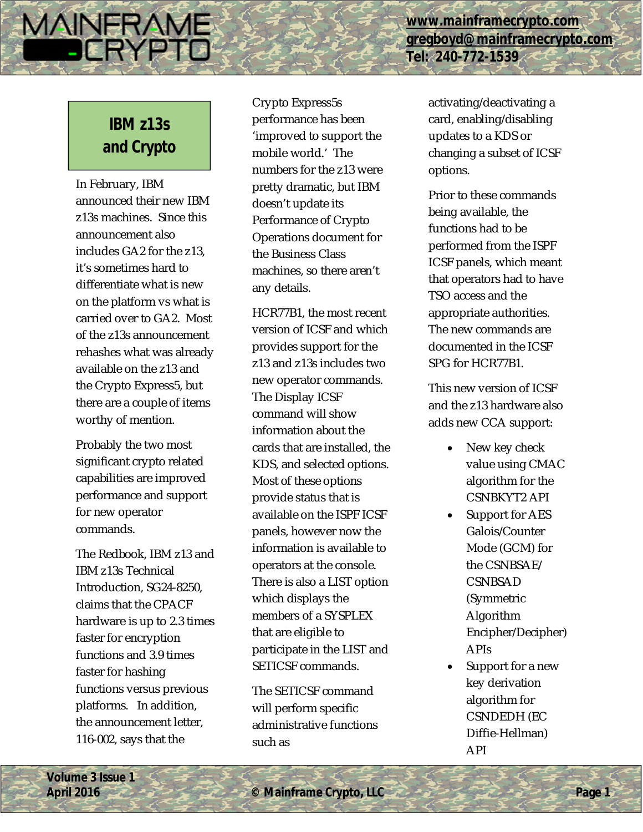**[www.mainframecrypto.com](http://www.mainframecrypto.com) [gregboyd@mainframecrypto.com](mailto:gregboyd@mainframecrypto.com) Tel: 240-772-1539**

# **IBM z13s and Crypto**

**MAINERAME** 

DERYP

In February, IBM announced their new IBM z13s machines. Since this announcement also includes GA2 for the z13, it's sometimes hard to differentiate what is new on the platform vs what is carried over to GA2. Most of the z13s announcement rehashes what was already available on the z13 and the Crypto Express5, but there are a couple of items worthy of mention.

Probably the two most significant crypto related capabilities are improved performance and support for new operator commands.

The Redbook, IBM z13 and IBM z13s Technical Introduction, SG24-8250, claims that the CPACF hardware is up to 2.3 times faster for encryption functions and 3.9 times faster for hashing functions versus previous platforms. In addition, the announcement letter, 116-002, says that the

Crypto Express5s performance has been 'improved to support the mobile world.' The numbers for the z13 were pretty dramatic, but IBM doesn't update its Performance of Crypto Operations document for the Business Class machines, so there aren't any details.

HCR77B1, the most recent version of ICSF and which provides support for the z13 and z13s includes two new operator commands. The Display ICSF command will show information about the cards that are installed, the KDS, and selected options. Most of these options provide status that is available on the ISPF ICSF panels, however now the information is available to operators at the console. There is also a LIST option which displays the members of a SYSPLEX that are eligible to participate in the LIST and SETICSF commands.

The SETICSF command will perform specific administrative functions such as

activating/deactivating a card, enabling/disabling updates to a KDS or changing a subset of ICSF options.

Prior to these commands being available, the functions had to be performed from the ISPF ICSF panels, which meant that operators had to have TSO access and the appropriate authorities. The new commands are documented in the ICSF SPG for HCR77B1.

This new version of ICSF and the z13 hardware also adds new CCA support:

- New key check value using CMAC algorithm for the CSNBKYT2 API
- Support for AES Galois/Counter Mode (GCM) for the CSNBSAE/ **CSNBSAD** (Symmetric Algorithm Encipher/Decipher) APIs
- Support for a new key derivation algorithm for CSNDEDH (EC Diffie-Hellman) API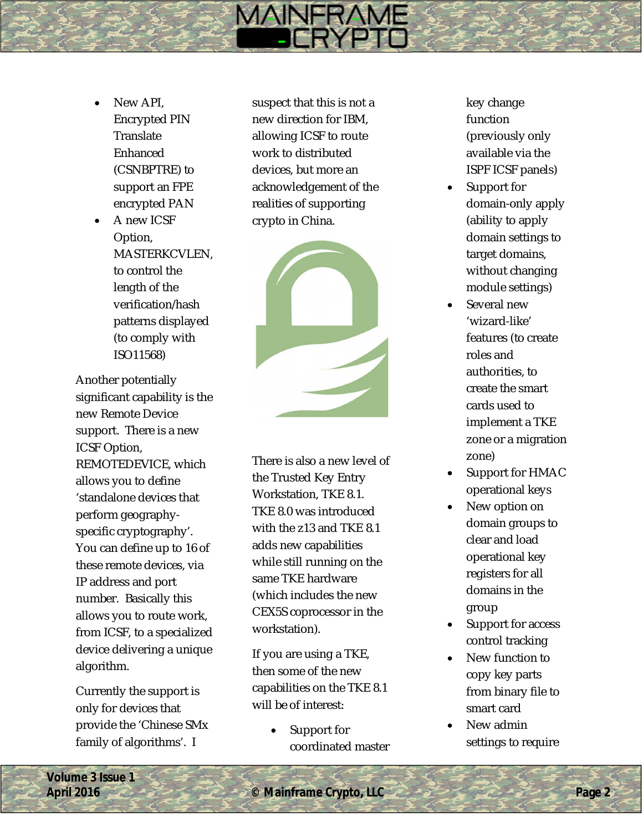- New API, Encrypted PIN **Translate** Enhanced (CSNBPTRE) to support an FPE encrypted PAN
- A new ICSF Option, MASTERKCVLEN, to control the length of the verification/hash patterns displayed (to comply with<br>ISO11568)

Another potentially significant capability is the new Remote Device support. There is a new ICSF Option, REMOTEDEVICE, which allows you to define 'standalone devices that perform geography specific cryptography'. You can define up to 16 of these remote devices, via IP address and port number. Basically this allows you to route work, from ICSF, to a specialized device delivering a unique algorithm.

Currently the support is only for devices that provide the 'Chinese SMx family of algorithms'. I

suspect that this is not a new direction for IBM, allowing ICSF to route work to distributed devices, but more an acknowledgement of the realities of supporting crypto in China.

**MAINFRAME** 



There is also a new level of the Trusted Key Entry Workstation, TKE 8.1. TKE 8.0 was introduced with the z13 and TKE 8.1 adds new capabilities while still running on the same TKE hardware (which includes the new CEX5S coprocessor in the workstation ).

If you are using a TKE, then some of the new capabilities on the TKE 8.1 will be of interest:

> Support for coordinated master

key change function (previously only available via the ISPF ICSF p anels)

- Support for domain -only apply (ability to apply domain settings to target domains, without changing module settings)
- Several new 'wizard -like' features (to create roles and authorities, to create the smart cards used to implement a TKE zone or a migration zone)
- Support for HMAC operational keys
- New option on domain groups to clear and load operational key registers for all domains in the group
- Support for access control tracking
- New function to copy key parts from binary file to smart card
- New admin settings to require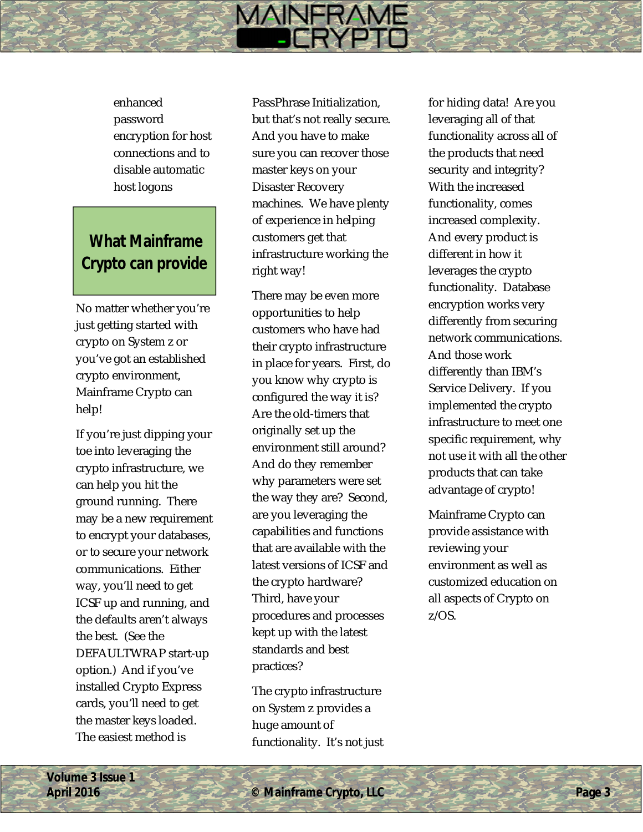enhanced password encryption for host connections and to disable automatic host logons

## **What Mainframe Crypto can provide**

No matter whether you're just getting started with crypto on System z or you've got an established crypto environment, Mainframe Crypto can help!

If you're just dipping your toe into leveraging the crypto infrastructure, we can help you hit the ground running. There may be a new requirement to encrypt your databases, or to secure your network communications. Either way, you'll need to get ICSF up and running, and the defaults aren't always the best. (See the DEFAULTWRAP start-up option.) And if you've installed Crypto Express cards, you'll need to get the master keys loaded. The easiest method is

PassPhrase Initialization, but that's not really secure. And you have to make sure you can recover those master keys on your Disaster Recovery machines. We have plenty of experience in helping customers get that infrastructure working the right way!

**MAINFRAME** 

There may be even more opportunities to help customers who have had their crypto infrastructure in place for years. First, do you know why crypto is configured the way it is? Are the old-timers that originally set up the environment still around? And do they remember why parameters were set the way they are? Second, are you leveraging the capabilities and functions that are available with the latest versions of ICSF and the crypto hardware? Third, have your procedures and processes kept up with the latest standards and best practices?

The crypto infrastructure on System z provides a huge amount of functionality. It's not just for hiding data! Are you leveraging all of that functionality across all of the products that need security and integrity? With the increased functionality, comes increased complexity. And every product is different in how it leverages the crypto functionality. Database encryption works very differently from securing network communications. And those work differently than IBM's Service Delivery. If you implemented the crypto infrastructure to meet one specific requirement, why not use it with all the other products that can take advantage of crypto!

Mainframe Crypto can provide assistance with reviewing your environment as well as customized education on all aspects of Crypto on z/OS.